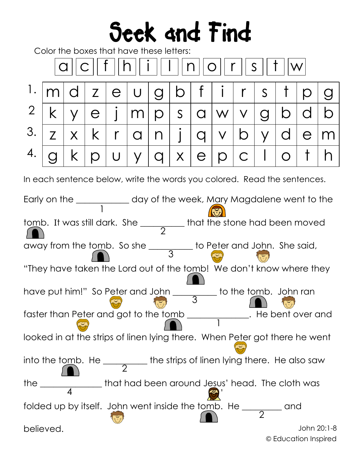## Seek and Find

Color the boxes that have these letters:

| $ \mathsf{q}  \mathsf{c}  $ f $  \mathsf{h}  $ i $  \mathsf{I}  \mathsf{n}  \mathsf{o}  $ r $  \mathsf{s}  $ t $  \mathsf{w} $ |  |  |  |  |  |  |  |                             |  |  |  |  |  |  |
|--------------------------------------------------------------------------------------------------------------------------------|--|--|--|--|--|--|--|-----------------------------|--|--|--|--|--|--|
| $1.$  m d z e u g b f i r s t p g                                                                                              |  |  |  |  |  |  |  |                             |  |  |  |  |  |  |
| $2$ k y e j m p s a w v g b d b                                                                                                |  |  |  |  |  |  |  |                             |  |  |  |  |  |  |
| $3.7$ $\sqrt{z}$ $\sqrt{k}$ $\sqrt{r}$ $\sqrt{a}$ $\sqrt{n}$ $j$ $\sqrt{q}$ $\sqrt{v}$ $\sqrt{d}$ $\sqrt{e}$ $\sqrt{m}$        |  |  |  |  |  |  |  |                             |  |  |  |  |  |  |
|                                                                                                                                |  |  |  |  |  |  |  | g k p U y q x e p c I o t h |  |  |  |  |  |  |

In each sentence below, write the words you colored. Read the sentences.

John 20:1-8 1 2 3 4 2 1 3 2 © Education Inspired Early on the **\_\_\_\_\_\_\_\_\_\_\_\_** day of the week, Mary Magdalene went to the tomb. It was still dark. She \_\_\_\_\_\_\_\_\_\_ that the stone had been moved away from the tomb. So she \_\_\_\_\_\_\_\_\_ to Peter and John. She said, "They have taken the Lord out of the tomb! We don't know where they have put him!" So Peter and John \_\_\_\_\_\_\_\_\_\_ to the tomb. John ran faster than Peter and got to the tomb \_\_\_\_\_\_\_\_\_\_\_\_\_\_. He bent over and looked in at the strips of linen lying there. When Peter got there he went into the tomb. He \_\_\_\_\_\_\_\_\_\_ the strips of linen lying there. He also saw the \_\_\_\_\_\_\_\_\_\_\_\_\_\_ that had been around Jesus' head. The cloth was folded up by itself. John went inside the tomb. He \_\_\_\_\_\_\_\_\_ and  $\begin{pmatrix} 4 & 6 \ 6 & 1 \end{pmatrix}$ <br>folded up by itself. John went inside the tomb.<br>believed.